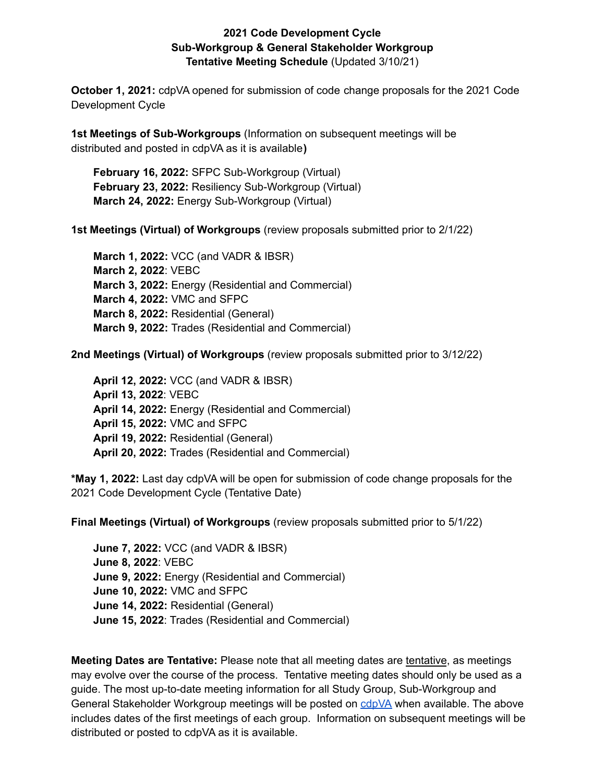## **2021 Code Development Cycle Sub-Workgroup & General Stakeholder Workgroup Tentative Meeting Schedule** (Updated 3/10/21)

**October 1, 2021:** cdpVA opened for submission of code change proposals for the 2021 Code Development Cycle

**1st Meetings of Sub-Workgroups** (Information on subsequent meetings will be distributed and posted in cdpVA as it is available**)**

**February 16, 2022:** SFPC Sub-Workgroup (Virtual) **February 23, 2022:** Resiliency Sub-Workgroup (Virtual) **March 24, 2022:** Energy Sub-Workgroup (Virtual)

**1st Meetings (Virtual) of Workgroups** (review proposals submitted prior to 2/1/22)

**March 1, 2022:** VCC (and VADR & IBSR) **March 2, 2022**: VEBC **March 3, 2022:** Energy (Residential and Commercial) **March 4, 2022:** VMC and SFPC **March 8, 2022:** Residential (General) **March 9, 2022:** Trades (Residential and Commercial)

**2nd Meetings (Virtual) of Workgroups** (review proposals submitted prior to 3/12/22)

**April 12, 2022:** VCC (and VADR & IBSR) **April 13, 2022**: VEBC **April 14, 2022:** Energy (Residential and Commercial) **April 15, 2022:** VMC and SFPC **April 19, 2022:** Residential (General) **April 20, 2022:** Trades (Residential and Commercial)

**\*May 1, 2022:** Last day cdpVA will be open for submission of code change proposals for the 2021 Code Development Cycle (Tentative Date)

**Final Meetings (Virtual) of Workgroups** (review proposals submitted prior to 5/1/22)

**June 7, 2022:** VCC (and VADR & IBSR) **June 8, 2022**: VEBC **June 9, 2022:** Energy (Residential and Commercial) **June 10, 2022:** VMC and SFPC **June 14, 2022:** Residential (General) **June 15, 2022**: Trades (Residential and Commercial)

**Meeting Dates are Tentative:** Please note that all meeting dates are tentative, as meetings may evolve over the course of the process. Tentative meeting dates should only be used as a guide. The most up-to-date meeting information for all Study Group, Sub-Workgroup and General Stakeholder Workgroup meetings will be posted on [cdpVA](https://va.cdpaccess.com/login/) when available. The above includes dates of the first meetings of each group. Information on subsequent meetings will be distributed or posted to cdpVA as it is available.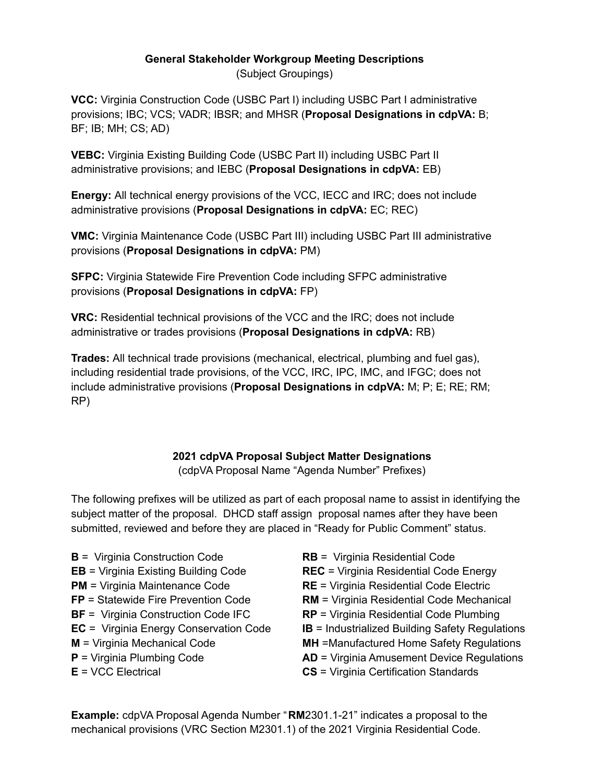## **General Stakeholder Workgroup Meeting Descriptions**

(Subject Groupings)

**VCC:** Virginia Construction Code (USBC Part I) including USBC Part I administrative provisions; IBC; VCS; VADR; IBSR; and MHSR (**Proposal Designations in cdpVA:** B; BF; IB; MH; CS; AD)

**VEBC:** Virginia Existing Building Code (USBC Part II) including USBC Part II administrative provisions; and IEBC (**Proposal Designations in cdpVA:** EB)

**Energy:** All technical energy provisions of the VCC, IECC and IRC; does not include administrative provisions (**Proposal Designations in cdpVA:** EC; REC)

**VMC:** Virginia Maintenance Code (USBC Part III) including USBC Part III administrative provisions (**Proposal Designations in cdpVA:** PM)

**SFPC:** Virginia Statewide Fire Prevention Code including SFPC administrative provisions (**Proposal Designations in cdpVA:** FP)

**VRC:** Residential technical provisions of the VCC and the IRC; does not include administrative or trades provisions (**Proposal Designations in cdpVA:** RB)

**Trades:** All technical trade provisions (mechanical, electrical, plumbing and fuel gas), including residential trade provisions, of the VCC, IRC, IPC, IMC, and IFGC; does not include administrative provisions (**Proposal Designations in cdpVA:** M; P; E; RE; RM; RP)

## **2021 cdpVA Proposal Subject Matter Designations**

(cdpVA Proposal Name "Agenda Number" Prefixes)

The following prefixes will be utilized as part of each proposal name to assist in identifying the subject matter of the proposal. DHCD staff assign proposal names after they have been submitted, reviewed and before they are placed in "Ready for Public Comment" status.

- **B** = Virginia Construction Code **EB** = Virginia Existing Building Code **PM** = Virginia Maintenance Code **FP** = Statewide Fire Prevention Code **BF** = Virginia Construction Code IFC **EC** = Virginia Energy Conservation Code **M** = Virginia Mechanical Code **P** = Virginia Plumbing Code **E** = VCC Electrical
- **RB** = Virginia Residential Code **REC** = Virginia Residential Code Energy **RE** = Virginia Residential Code Electric **RM** = Virginia Residential Code Mechanical **RP** = Virginia Residential Code Plumbing **IB** = Industrialized Building Safety Regulations **MH** =Manufactured Home Safety Regulations **AD** = Virginia Amusement Device Regulations **CS** = Virginia Certification Standards

**Example:** cdpVA Proposal Agenda Number "**RM**2301.1-21" indicates a proposal to the mechanical provisions (VRC Section M2301.1) of the 2021 Virginia Residential Code.